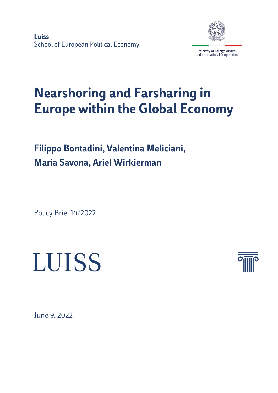**Luiss** School of European Political Economy



# **Nearshoring and Farsharing in Europe within the Global Economy**

**Filippo Bontadini, Valentina Meliciani, Maria Savona, Ariel Wirkierman** 

Policy Brief 14/2022

# LUISS



June 9, 2022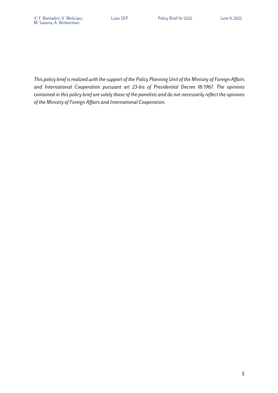*This policy brief is realized with the support of the Policy Planning Unit of the Ministry of Foreign Affairs and International Cooperation pursuant art 23-bis of Presidential Decree 18/1967. The opinions contained in this policy brief are solely those of the panelists and do not necessarily reflect the opinions of the Ministry of Foreign Affairs and International Cooperation.*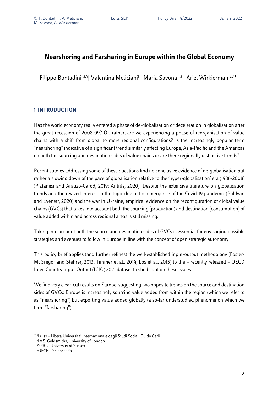## **Nearshoring and Farsharing in Europe within the Global Economy**

Filippo Bontadini<sup>1,3,4</sup>| Valentina Meliciani<sup>1</sup> | Maria Savona<sup>1,3</sup> | Ariel Wirkierman<sup>2,3◆</sup>

#### **1 INTRODUCTION**

Has the world economy really entered a phase of de-globalisation or deceleration in globalisation after the great recession of 2008-09? Or, rather, are we experiencing a phase of reorganisation of value chains with a shift from global to more regional configurations? Is the increasingly popular term "nearshoring" indicative of a significant trend similarly affecting Europe, Asia-Pacific and the Americas on both the sourcing and destination sides of value chains or are there regionally distinctive trends?

Recent studies addressing some of these questions find no conclusive evidence of de-globalisation but rather a slowing down of the pace of globalisation relative to the 'hyper-globalisation' era (1986-2008) (Piatanesi and Arauzo-Carod, 2019; Antràs, 2020). Despite the extensive literature on globalisation trends and the revived interest in the topic due to the emergence of the Covid-19 pandemic (Baldwin and Evenett, 2020) and the war in Ukraine, empirical evidence on the reconfiguration of global value chains (GVCs) that takes into account both the sourcing (production) and destination (consumption) of value added within and across regional areas is still missing.

Taking into account both the source and destination sides of GVCs is essential for envisaging possible strategies and avenues to follow in Europe in line with the concept of open strategic autonomy.

This policy brief applies (and further refines) the well-established input-output methodology (Foster-McGregor and Stehrer, 2013; Timmer et al., 2014; Los et al., 2015) to the – recently released – OECD Inter-Country Input-Output (ICIO) 2021 dataset to shed light on these issues.

We find very clear-cut results on Europe, suggesting two opposite trends on the source and destination sides of GVCs: Europe is increasingly sourcing value added from within the region (which we refer to as "nearshoring") but exporting value added globally (a so-far understudied phenomenon which we term "farsharing").

<sup>¨</sup> 1 Luiss – Libera Universita' Internazionale degli Studi Sociali Guido Carli 2IMS, Goldsmiths, University of London 3SPRU, University of Sussex 4OFCE – SciencesPo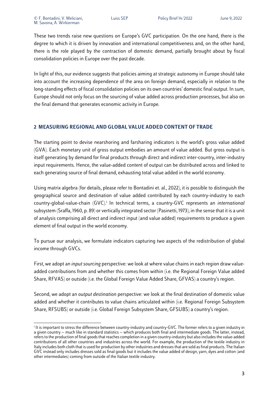These two trends raise new questions on Europe's GVC participation. On the one hand, there is the degree to which it is driven by innovation and international competitiveness and, on the other hand, there is the role played by the contraction of domestic demand, partially brought about by fiscal consolidation policies in Europe over the past decade.

In light of this, our evidence suggests that policies aiming at strategic autonomy in Europe should take into account the increasing dependence of the area on foreign demand, especially in relation to the long-standing effects of fiscal consolidation policies on its own countries' domestic final output. In sum, Europe should not only focus on the sourcing of value added across production processes, but also on the final demand that generates economic activity in Europe.

#### **2 MEASURING REGIONAL AND GLOBAL VALUE ADDED CONTENT OF TRADE**

The starting point to devise nearshoring and farsharing indicators is the world's gross value added (GVA). Each monetary unit of gross output embodies an amount of value added. But gross output is itself generating by demand for final products through direct and indirect inter-country, inter-industry input requirements. Hence, the value-added content of output can be distributed across and linked to each generating source of final demand, exhausting total value added in the world economy.

Using matrix algebra (for details, please refer to Bontadini et. al., 2022), it is possible to distinguish the geographical source and destination of value added contributed by each country-industry to each country-global-value-chain (GVC). <sup>1</sup> In technical terms, a country-GVC represents an *international* subsystem (Sraffa, 1960, p. 89) or vertically integrated sector (Pasinetti, 1973), in the sense that it is a unit of analysis comprising all direct and indirect input (and value added) requirements to produce a given element of final output in the world economy.

To pursue our analysis, we formulate indicators capturing two aspects of the redistribution of global income through GVCs.

First, we adopt an *input sourcing* perspective: we look at where value chains in each region draw valueadded contributions from and whether this comes from within (i.e. the Regional Foreign Value added Share, RFVAS) or outside (i.e. the Global Foreign Value Added Share, GFVAS) a country's region.

Second, we adopt an *output destination* perspective: we look at the final destination of domestic value added and whether it contributes to value chains articulated within (i.e. Regional Foreign Subsystem Share, RFSUBS) or outside (i.e. Global Foreign Subsystem Share, GFSUBS) a country's region.

<sup>1</sup> It is important to stress the difference between country-industry and country-GVC. The former refers to a given industry in a given country -- much like in standard statistics -- which produces both final and intermediate goods. The latter, instead, refers to the production of final goods that reaches completion in a given country-industry but also includesthe value-added contributions of all other countries and industries across the world. For example, the production of the textile industry in Italy includes both cloth that is used for production by other industries and dresses that are sold as final products. The Italian GVC instead only includes dresses sold as final goods but it includes the value added of design, yarn, dyes and cotton (and other intermediates) coming from outside of the Italian textile industry.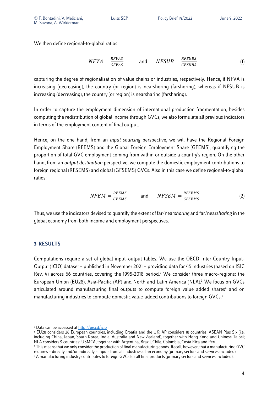We then define regional-to-global ratios:

$$
NFVA = \frac{RFVAS}{GFVAS} \qquad \text{and} \qquad NFSUB = \frac{RFSUBS}{GFSUBS} \tag{1}
$$

capturing the degree of regionalisation of value chains or industries, respectively. Hence, if NFVA is increasing (decreasing), the country (or region) is nearshoring (farshoring), whereas if NFSUB is increasing (decreasing), the country (or region) is nearsharing (farsharing).

In order to capture the employment dimension of international production fragmentation, besides computing the redistribution of global income through GVCs, we also formulate all previous indicators in terms of the employment content of final output.

Hence, on the one hand, from an *input sourcing* perspective, we will have the Regional Foreign Employment Share (RFEMS) and the Global Foreign Employment Share (GFEMS), quantifying the proportion of total GVC employment coming from within or outside a country's region. On the other hand, from an *output destination* perspective, we compute the domestic employment contributions to foreign regional (RFSEMS) and global (GFSEMS) GVCs. Also in this case we define regional-to-global ratios:

$$
NFEM = \frac{RFEMS}{GFEMS} \qquad \text{and} \qquad NFSEM = \frac{RFSEMS}{GFSENS} \tag{2}
$$

Thus, we use the indicators devised to quantify the extent of far/near*shoring* and far/near*sharing* in the global economy from both income and employment perspectives.

#### **3 RESULTS**

Computations require a set of global input–output tables. We use the OECD Inter-Country Input-Output (ICIO) dataset – published in November 2021 – providing data for 45 industries (based on ISIC Rev. 4) across 66 countries, covering the 1995-2018 period.<sup>2</sup> We consider three macro-regions: the European Union (EU28), Asia-Pacific (AP) and North and Latin America (NLA). <sup>3</sup> We focus on GVCs articulated around manufacturing final outputs to compute foreign value added shares<sup>4</sup> and on manufacturing industries to compute domestic value-added contributions to foreign GVCs.<sup>5</sup>

<sup>2</sup> Data can be accessed at http://oe.cd/icio

<sup>&</sup>lt;sup>3</sup> EU28 considers 28 European countries, including Croatia and the UK; AP considers 18 countries: ASEAN Plus Six (i.e. including China, Japan, South Korea, India, Australia and New Zealand), together with Hong Kong and Chinese Taipei; NLA considers 9 countries: USMCA, together with Argentina, Brazil, Chile, Colombia, Costa Rica and Peru.

<sup>4</sup> This means that we only consider the production of final manufacturing goods. Recall, however, that a manufacturing GVC requires – directly and/or indirectly – inputs from all industries of an economy (primary sectors and services included).

<sup>5</sup> A manufacturing industry contributes to foreign GVCs for all final products (primary sectors and services included).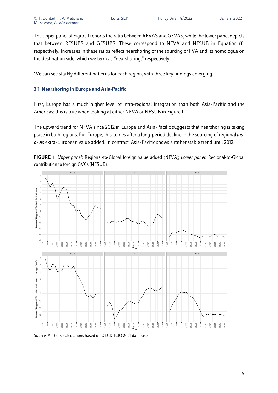The upper panel of Figure 1 reports the ratio between RFVAS and GFVAS, while the lower panel depicts that between RFSUBS and GFSUBS. These correspond to NFVA and NFSUB in Equation (1), respectively. Increases in these ratios reflect nearshoring of the sourcing of FVA and its homologue on the destination side, which we term as "nearsharing," respectively.

We can see starkly different patterns for each region, with three key findings emerging.

#### **3.1 Nearshoring in Europe and Asia-Pacific**

First, Europe has a much higher level of intra-regional integration than both Asia-Pacific and the Americas; this is true when looking at either NFVA or NFSUB in Figure 1.

The upward trend for NFVA since 2012 in Europe and Asia-Pacific suggests that nearshoring is taking place in both regions. For Europe, this comes after a long-period decline in the sourcing of regional *visà-vis* extra-European value added. In contrast, Asia-Pacific shows a rather stable trend until 2012.





*Source*: Authors' calculations based on OECD-ICIO 2021 database.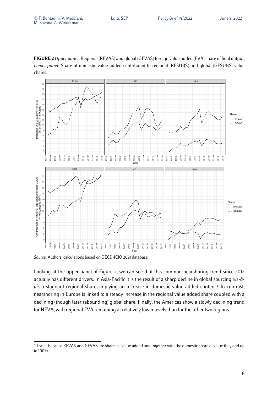



*Source*: Authors' calculations based on OECD-ICIO 2021 database.

Looking at the upper panel of Figure 2, we can see that this common nearshoring trend since 2012 actually has different drivers. In Asia-Pacific it is the result of a sharp decline in global sourcing *vis-àvis* a stagnant regional share, implying an increase in domestic value added content. <sup>6</sup> In contrast, nearshoring in Europe is linked to a steady increase in the regional value added share coupled with a declining (though later rebounding) global share. Finally, the Americas show a slowly declining trend for NFVA, with regional FVA remaining at relatively lower levels than for the other two regions.

 This is because RFVAS and GFVAS are shares of value added and together with the domestic share of value they add up to 100%.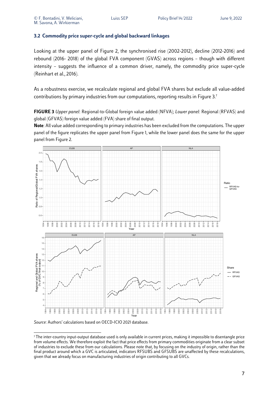#### **3.2 Commodity price super-cycle and global backward linkages**

Looking at the upper panel of Figure 2, the synchronised rise (2002-2012), decline (2012-2016) and rebound (2016- 2018) of the global FVA component (GVAS) across regions – though with different intensity – suggests the influence of a common driver, namely, the commodity price super-cycle (Reinhart et al., 2016).

As a robustness exercise, we recalculate regional and global FVA shares but exclude all value-added contributions by primary industries from our computations, reporting results in Figure 3.7

**FIGURE 3** *Upper panel*: Regional-to-Global foreign value added (NFVA); *Lower panel*: Regional (RFVAS) and global (GFVAS) foreign value added (FVA) share of final output.

**Note**: All value added corresponding to primary industries has been excluded from the computations. The upper panel of the figure replicates the upper panel from Figure 1, while the lower panel does the same for the upper panel from Figure 2.



*Source*: Authors' calculations based on OECD-ICIO 2021 database.

 The inter-country input-output database used is only available in current prices, making it impossible to disentangle price from volume effects. We therefore exploit the fact that price effects from primary commodities originate from a clear subset of industries to exclude these from our calculations. Please note that, by focusing on the industry of origin, rather than the final product around which a GVC is articulated, indicators RFSUBS and GFSUBS are unaffected by these recalculations, given that we already focus on manufacturing industries of origin contributing to all GVCs.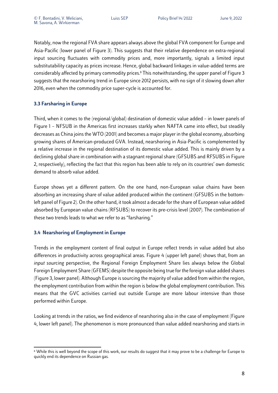Notably, now the regional FVA share appears always above the global FVA component for Europe and Asia-Pacific (lower panel of Figure 3). This suggests that their relative dependence on extra-regional input sourcing fluctuates with commodity prices and, more importantly, signals a limited input substitutability capacity as prices increase. Hence, global backward linkages in value-added terms are considerably affected by primary commodity prices.<sup>8</sup> This notwithstanding, the upper panel of Figure 3 suggests that the nearshoring trend in Europe since 2012 persists, with no sign of it slowing down after 2016, even when the commodity price super-cycle is accounted for.

#### **3.3 Farsharing in Europe**

Third, when it comes to the (regional/global) destination of domestic value added – in lower panels of Figure 1 – NFSUB in the Americas first increases starkly when NAFTA came into effect, but steadily decreases as China joins the WTO (2001) and becomes a major player in the global economy, absorbing growing shares of American-produced GVA. Instead, nearshoring in Asia-Pacific is complemented by a relative increase in the regional destination of its domestic value added. This is mainly driven by a declining global share in combination with a stagnant regional share (GFSUBS and RFSUBS in Figure 2, respectively), reflecting the fact that this region has been able to rely on its countries' own domestic demand to absorb value added.

Europe shows yet a different pattern. On the one hand, non-European value chains have been absorbing an increasing share of value added produced within the continent (GFSUBS in the bottomleft panel of Figure 2). On the other hand, it took almost a decade for the share of European value added absorbed by European value chains (RFSUBS) to recover its pre-crisis level (2007). The combination of these two trends leads to what we refer to as "farsharing."

#### **3.4 Nearshoring of Employment in Europe**

Trends in the employment content of final output in Europe reflect trends in value added but also differences in productivity across geographical areas. Figure 4 (upper left panel) shows that, from an *input sourcing* perspective, the Regional Foreign Employment Share lies always below the Global Foreign Employment Share (GFEMS) despite the opposite being true for the foreign value added shares (Figure 3, lower panel). Although Europe is sourcing the majority of value added from within the region, the employment contribution from within the region is below the global employment contribution. This means that the GVC activities carried out outside Europe are more labour intensive than those performed within Europe.

Looking at trends in the ratios, we find evidence of nearshoring also in the case of employment (Figure 4, lower left panel). The phenomenon is more pronounced than value added nearshoring and starts in

<sup>&</sup>lt;sup>8</sup> While this is well beyond the scope of this work, our results do suggest that it may prove to be a challenge for Europe to quickly end its dependence on Russian gas.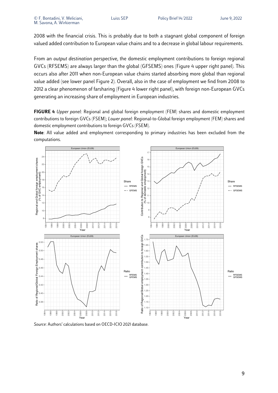2008 with the financial crisis. This is probably due to both a stagnant global component of foreign valued added contribution to European value chains and to a decrease in global labour requirements.

From an *output destination* perspective, the domestic employment contributions to foreign regional GVCs (RFSEMS) are always larger than the global (GFSEMS) ones (Figure 4 upper right panel). This occurs also after 2011 when non-European value chains started absorbing more global than regional value added (see lower panel Figure 2). Overall, also in the case of employment we find from 2008 to 2012 a clear phenomenon of farsharing (Figure 4 lower right panel), with foreign non-European GVCs generating an increasing share of employment in European industries.

**FIGURE 4** *Upper panel*: Regional and global foreign employment (FEM) shares and domestic employment contributions to foreign GVCs (FSEM); *Lower panel*: Regional-to-Global foreign employment (FEM) shares and domestic employment contributions to foreign GVCs (FSEM).

**Note**: All value added and employment corresponding to primary industries has been excluded from the computations.



*Source*: Authors' calculations based on OECD-ICIO 2021 database.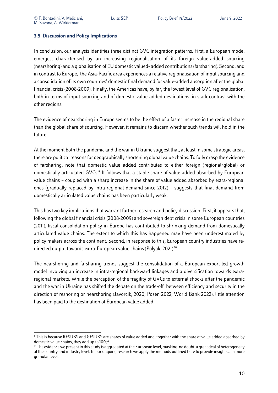#### **3.5 Discussion and Policy Implications**

In conclusion, our analysis identifies three distinct GVC integration patterns. First, a European model emerges, characterised by an increasing regionalisation of its foreign value-added sourcing (nearshoring) and a globalisation of EU domestic valued- added contributions (farsharing). Second, and in contrast to Europe, the Asia-Pacific area experiences a relative regionalisation of input sourcing and a consolidation of its own countries' domestic final demand for value-added absorption after the global financial crisis (2008-2009). Finally, the Americas have, by far, the lowest level of GVC regionalisation, both in terms of input sourcing and of domestic value-added destinations, in stark contrast with the other regions.

The evidence of nearshoring in Europe seems to be the effect of a faster increase in the regional share than the global share of sourcing. However, it remains to discern whether such trends will hold in the future.

At the moment both the pandemic and the war in Ukraine suggest that, at least in some strategic areas, there are political reasons for geographically shortening global value chains. To fully grasp the evidence of farsharing, note that domestic value added contributes to either foreign (regional/global) or domestically articulated GVCs.<sup>9</sup> It follows that a stable share of value added absorbed by European value chains – coupled with a sharp increase in the share of value added absorbed by extra-regional ones (gradually replaced by intra-regional demand since 2012) – suggests that final demand from domestically articulated value chains has been particularly weak.

This has two key implications that warrant further research and policy discussion. First, it appears that, following the global financial crisis (2008-2009) and sovereign debt crisis in some European countries (2011), fiscal consolidation policy in Europe has contributed to shrinking demand from domestically articulated value chains. The extent to which this has happened may have been underestimated by policy makers across the continent. Second, in response to this, European country industries have redirected output towards extra-European value chains (Polyak, 2021).10

The nearshoring and farsharing trends suggest the consolidation of a European export-led growth model involving an increase in intra-regional backward linkages and a diversification towards extraregional markets. While the perception of the fragility of GVCs to external shocks after the pandemic and the war in Ukraine has shifted the debate on the trade-off between efficiency and security in the direction of reshoring or nearshoring (Javorcik, 2020; Posen 2022; World Bank 2022), little attention has been paid to the destination of European value added.

<sup>9</sup> This is because RFSUBS and GFSUBS are shares of value added and, together with the share of value added absorbed by domestic value chains, they add up to 100%.

<sup>&</sup>lt;sup>10</sup> The evidence we present in this study is aggregated at the European level, masking, no doubt, a great deal of heterogeneity at the country and industry level. In our ongoing research we apply the methods outlined here to provide insights at a more granular level.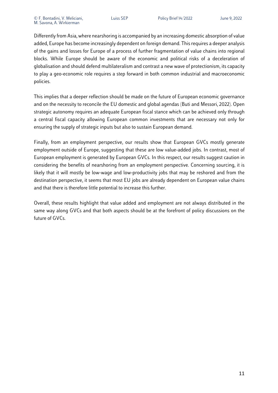Differently from Asia, where nearshoring is accompanied by an increasing domestic absorption of value added, Europe has become increasingly dependent on foreign demand. This requires a deeper analysis of the gains and losses for Europe of a process of further fragmentation of value chains into regional blocks. While Europe should be aware of the economic and political risks of a deceleration of globalisation and should defend multilateralism and contrast a new wave of protectionism, its capacity to play a geo-economic role requires a step forward in both common industrial and macroeconomic policies.

This implies that a deeper reflection should be made on the future of European economic governance and on the necessity to reconcile the EU domestic and global agendas (Buti and Messori, 2022). Open strategic autonomy requires an adequate European fiscal stance which can be achieved only through a central fiscal capacity allowing European common investments that are necessary not only for ensuring the supply of strategic inputs but also to sustain European demand.

Finally, from an employment perspective, our results show that European GVCs mostly generate employment outside of Europe, suggesting that these are low value-added jobs. In contrast, most of European employment is generated by European GVCs. In this respect, our results suggest caution in considering the benefits of nearshoring from an employment perspective. Concerning sourcing, it is likely that it will mostly be low-wage and low-productivity jobs that may be reshored and from the destination perspective, it seems that most EU jobs are already dependent on European value chains and that there is therefore little potential to increase this further.

Overall, these results highlight that value added and employment are not always distributed in the same way along GVCs and that both aspects should be at the forefront of policy discussions on the future of GVCs.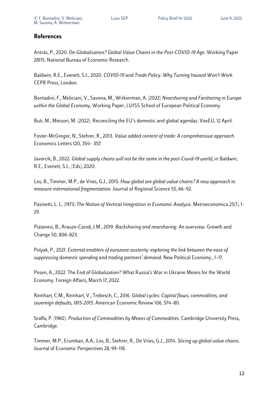### **References**

Antràs, P., 2020. *De-Globalisation? Global Value Chains in the Post-COVID-19 Age*. Working Paper 28115. National Bureau of Economic Research.

Baldwin, R.E., Evenett, S.J., 2020. *COVID-19 and Trade Policy: Why Turning Inward Won't Work*. CEPR Press, London.

Bontadini, F., Meliciani, V., Savona, M., Wirkierman, A. (2022) *Nearshoring and Farsharing in Europe within the Global Economy*. Working Paper, LUISS School of European Political Economy.

Buti, M., Messori, M. (2022). Reconciling the EU's domestic and global agendas. VoxEU, 12 April.

Foster-McGregor, N., Stehrer, R., 2013. *Value added content of trade: A comprehensive approach*. Economics Letters 120, 354– 357.

Javorcik, B., 2022. *Global supply chains will not be the same in the post-Covid-19 world*, in Baldwin, R.E., Evenett, S.J., (Eds), 2020.

Los, B., Timmer, M.P., de Vries, G.J., 2015. *How global are global value chains? A new approach to measure international fragmentation*. Journal of Regional Science 55, 66–92.

Pasinetti, L. L. (1973) *The Notion of Vertical Integration in Economic Analysis*. Metroeconomica 25(1), 1- 29.

Piatanesi, B., Arauzo-Carod, J.M., 2019. *Backshoring and nearshoring: An overview*. Growth and Change 50, 806–823.

Polyak, P., 2021. *External enablers of eurozone austerity: exploring the link between the ease of suppressing domestic spending and trading partners' demand*. New Political Economy , 1–17.

Posen, A., 2022. The End of Globalization? What Russia's War in Ukraine Means for the World Economy. Foreign Affairs, March 17, 2022.

Reinhart, C.M., Reinhart, V., Trebesch, C., 2016. *Global cycles: Capital flows, commodities, and sovereign defaults, 1815-2015*. American Economic Review 106, 574–80.

Sraffa, P. (1960). *Production of Commodities by Means of Commodities*. Cambridge University Press, Cambridge.

Timmer, M.P., Erumban, A.A., Los, B., Stehrer, R., De Vries, G.J., 2014. *Slicing up global value chains*. Journal of Economic Perspectives 28, 99–118.